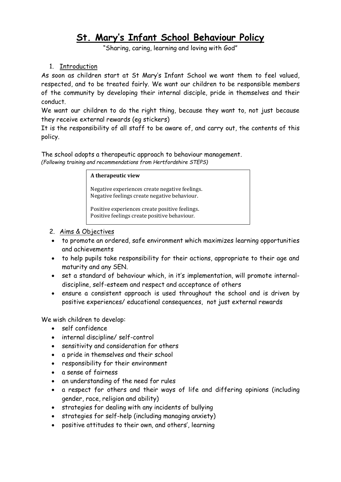# **St. Mary's Infant School Behaviour Policy**

"Sharing, caring, learning and loving with God"

1. Introduction

As soon as children start at St Mary's Infant School we want them to feel valued, respected, and to be treated fairly. We want our children to be responsible members of the community by developing their internal disciple, pride in themselves and their conduct.

We want our children to do the right thing, because they want to, not just because they receive external rewards (eg stickers)

It is the responsibility of all staff to be aware of, and carry out, the contents of this policy.

The school adopts a therapeutic approach to behaviour management. *(Following training and recommendations from Hertfordshire STEPS)*

#### **A therapeutic view**

Negative experiences create negative feelings. Negative feelings create negative behaviour.

Positive experiences create positive feelings. Positive feelings create positive behaviour.

- 2. Aims & Objectives
- to promote an ordered, safe environment which maximizes learning opportunities and achievements
- to help pupils take responsibility for their actions, appropriate to their age and maturity and any SEN.
- set a standard of behaviour which, in it's implementation, will promote internaldiscipline, self-esteem and respect and acceptance of others
- ensure a consistent approach is used throughout the school and is driven by positive experiences/ educational consequences, not just external rewards

We wish children to develop:

- self confidence
- internal discipline/ self-control
- sensitivity and consideration for others
- a pride in themselves and their school
- responsibility for their environment
- a sense of fairness
- an understanding of the need for rules
- a respect for others and their ways of life and differing opinions (including gender, race, religion and ability)
- strategies for dealing with any incidents of bullying
- strategies for self-help (including managing anxiety)
- positive attitudes to their own, and others', learning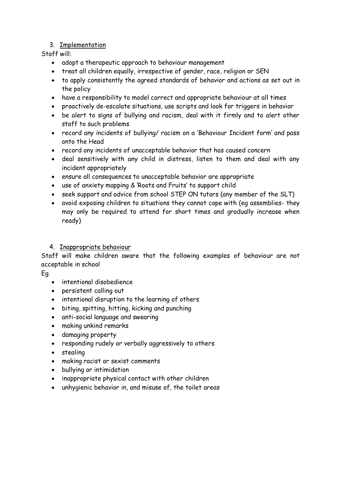# 3. Implementation

Staff will:

- adopt a therapeutic approach to behaviour management
- treat all children equally, irrespective of gender, race, religion or SEN
- to apply consistently the agreed standards of behavior and actions as set out in the policy
- have a responsibility to model correct and appropriate behaviour at all times
- proactively de-escalate situations, use scripts and look for triggers in behavior
- be alert to signs of bullying and racism, deal with it firmly and to alert other staff to such problems
- record any incidents of bullying/ racism on a 'Behaviour Incident form' and pass onto the Head
- record any incidents of unacceptable behavior that has caused concern
- deal sensitively with any child in distress, listen to them and deal with any incident appropriately
- ensure all consequences to unacceptable behavior are appropriate
- use of anxiety mapping & 'Roots and Fruits' to support child
- seek support and advice from school STEP ON tutors (any member of the SLT)
- avoid exposing children to situations they cannot cope with (eg assemblies- they may only be required to attend for short times and gradually increase when ready)

# 4. Inappropriate behaviour

Staff will make children aware that the following examples of behaviour are not acceptable in school

Eg.

- intentional disobedience
- persistent calling out
- intentional disruption to the learning of others
- biting, spitting, hitting, kicking and punching
- anti-social language and swearing
- making unkind remarks
- damaging property
- responding rudely or verbally aggressively to others
- stealing
- making racist or sexist comments
- bullying or intimidation
- inappropriate physical contact with other children
- unhygienic behavior in, and misuse of, the toilet areas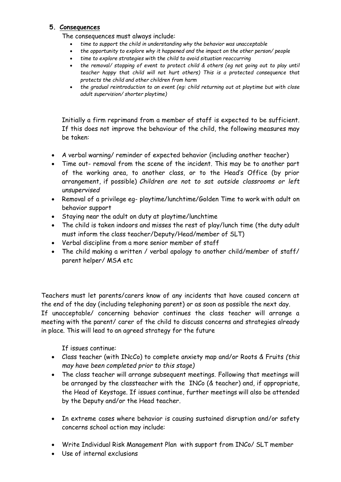#### **5. Consequences**

The consequences must always include:

- *time to support the child in understanding why the behavior was unacceptable*
- *the opportunity to explore why it happened and the impact on the other person/ people*
- *time to explore strategies with the child to avoid situation reoccurring*
- *the removal/ stopping of event to protect child & others (eg not going out to play until teacher happy that child will not hurt others) This is a protected consequence that protects the child and other children from harm*
- *the gradual reintroduction to an event (eg: child returning out at playtime but with close adult supervision/ shorter playtime)*

Initially a firm reprimand from a member of staff is expected to be sufficient. If this does not improve the behaviour of the child, the following measures may be taken:

- A verbal warning/ reminder of expected behavior (including another teacher)
- Time out- removal from the scene of the incident. This may be to another part of the working area, to another class, or to the Head's Office (by prior arrangement, if possible) *Children are not to sat outside classrooms or left unsupervised*
- Removal of a privilege eg- playtime/lunchtime/Golden Time to work with adult on behavior support
- Staying near the adult on duty at playtime/lunchtime
- The child is taken indoors and misses the rest of play/lunch time (the duty adult must inform the class teacher/Deputy/Head/member of SLT)
- Verbal discipline from a more senior member of staff
- The child making a written / verbal apology to another child/member of staff/ parent helper/ MSA etc

Teachers must let parents/carers know of any incidents that have caused concern at the end of the day (including telephoning parent) or as soon as possible the next day. If unacceptable/ concerning behavior continues the class teacher will arrange a

meeting with the parent/ carer of the child to discuss concerns and strategies already in place. This will lead to an agreed strategy for the future

If issues continue:

- Class teacher (with INcCo) to complete anxiety map and/or Roots & Fruits *(this may have been completed prior to this stage)*
- The class teacher will arrange subsequent meetings. Following that meetings will be arranged by the classteacher with the INCo (& teacher) and, if appropriate, the Head of Keystage. If issues continue, further meetings will also be attended by the Deputy and/or the Head teacher.
- In extreme cases where behavior is causing sustained disruption and/or safety concerns school action may include:
- Write Individual Risk Management Plan with support from INCo/ SLT member
- Use of internal exclusions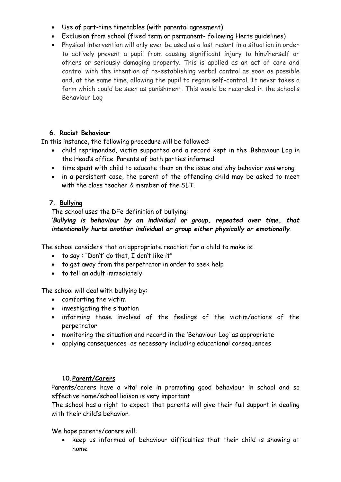- Use of part-time timetables (with parental agreement)
- Exclusion from school (fixed term or permanent- following Herts guidelines)
- Physical intervention will only ever be used as a last resort in a situation in order to actively prevent a pupil from causing significant injury to him/herself or others or seriously damaging property. This is applied as an act of care and control with the intention of re-establishing verbal control as soon as possible and, at the same time, allowing the pupil to regain self-control. It never takes a form which could be seen as punishment. This would be recorded in the school's Behaviour Log

# **6. Racist Behaviour**

In this instance, the following procedure will be followed:

- child reprimanded, victim supported and a record kept in the 'Behaviour Log in the Head's office. Parents of both parties informed
- time spent with child to educate them on the issue and why behavior was wrong
- in a persistent case, the parent of the offending child may be asked to meet with the class teacher & member of the SLT.

# **7. Bullying**

The school uses the DFe definition of bullying:

# *'Bullying is behaviour by an individual or group, repeated over time, that intentionally hurts another individual or group either physically or emotionally.*

The school considers that an appropriate reaction for a child to make is:

- to say : "Don't' do that, I don't like it"
- to get away from the perpetrator in order to seek help
- to tell an adult immediately

The school will deal with bullying by:

- comforting the victim
- investigating the situation
- informing those involved of the feelings of the victim/actions of the perpetrator
- monitoring the situation and record in the 'Behaviour Log' as appropriate
- applying consequences as necessary including educational consequences

# **10.Parent/Carers**

Parents/carers have a vital role in promoting good behaviour in school and so effective home/school liaison is very important

The school has a right to expect that parents will give their full support in dealing with their child's behavior.

We hope parents/carers will:

• keep us informed of behaviour difficulties that their child is showing at home